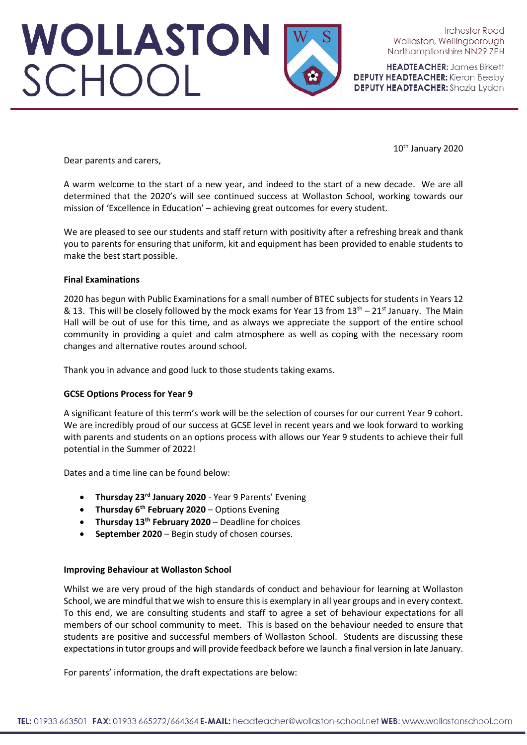# WOLLASTON<br>SCHOOL

**Irchester Road** Wollaston, Wellingborough Northamptonshire NN29 7PH

**HEADTEACHER: James Birkett DEPUTY HEADTEACHER:** Kieron Beeby **DEPUTY HEADTEACHER:** Shazia Lydon

10th January 2020

Dear parents and carers,

A warm welcome to the start of a new year, and indeed to the start of a new decade. We are all determined that the 2020's will see continued success at Wollaston School, working towards our mission of 'Excellence in Education' – achieving great outcomes for every student.

We are pleased to see our students and staff return with positivity after a refreshing break and thank you to parents for ensuring that uniform, kit and equipment has been provided to enable students to make the best start possible.

## **Final Examinations**

2020 has begun with Public Examinations for a small number of BTEC subjects for students in Years 12 & 13. This will be closely followed by the mock exams for Year 13 from  $13<sup>th</sup> - 21<sup>st</sup>$  January. The Main Hall will be out of use for this time, and as always we appreciate the support of the entire school community in providing a quiet and calm atmosphere as well as coping with the necessary room changes and alternative routes around school.

Thank you in advance and good luck to those students taking exams.

## **GCSE Options Process for Year 9**

A significant feature of this term's work will be the selection of courses for our current Year 9 cohort. We are incredibly proud of our success at GCSE level in recent years and we look forward to working with parents and students on an options process with allows our Year 9 students to achieve their full potential in the Summer of 2022!

Dates and a time line can be found below:

- **Thursday 23rd January 2020** Year 9 Parents' Evening
- **Thursday 6th February 2020** Options Evening
- **Thursday 13th February 2020** Deadline for choices
- **September 2020** Begin study of chosen courses.

## **Improving Behaviour at Wollaston School**

Whilst we are very proud of the high standards of conduct and behaviour for learning at Wollaston School, we are mindful that we wish to ensure this is exemplary in all year groups and in every context. To this end, we are consulting students and staff to agree a set of behaviour expectations for all members of our school community to meet. This is based on the behaviour needed to ensure that students are positive and successful members of Wollaston School. Students are discussing these expectations in tutor groups and will provide feedback before we launch a final version in late January.

For parents' information, the draft expectations are below: